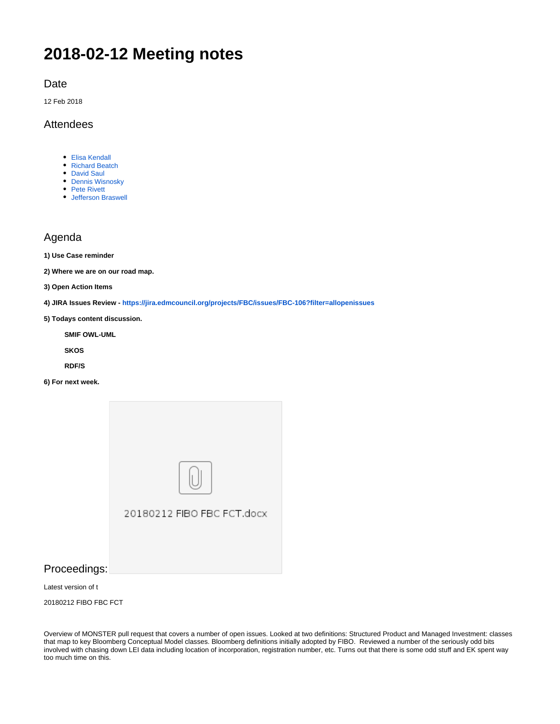# **2018-02-12 Meeting notes**

Date

12 Feb 2018

#### Attendees

- [Elisa Kendall](https://wiki.edmcouncil.org/display/~ElisaKendall)
- [Richard Beatch](https://wiki.edmcouncil.org/display/~rbeatch)
- [David Saul](https://wiki.edmcouncil.org/display/~dnsaul)
- [Dennis Wisnosky](https://wiki.edmcouncil.org/display/~DennisWisnosky) • [Pete Rivett](https://wiki.edmcouncil.org/display/~rivettp)
- [Jefferson Braswell](https://wiki.edmcouncil.org/display/~ljb)

## Agenda

**1) Use Case reminder**

**2) Where we are on our road map.** 

**3) Open Action Items**

**4) JIRA Issues Review - <https://jira.edmcouncil.org/projects/FBC/issues/FBC-106?filter=allopenissues>**

**5) Todays content discussion.**

**SMIF OWL-UML**

**SKOS**

**RDF/S**

**6) For next week.**



### Proceedings:

Latest version of t

20180212 FIBO FBC FCT

Overview of MONSTER pull request that covers a number of open issues. Looked at two definitions: Structured Product and Managed Investment: classes that map to key Bloomberg Conceptual Model classes. Bloomberg definitions initially adopted by FIBO. Reviewed a number of the seriously odd bits involved with chasing down LEI data including location of incorporation, registration number, etc. Turns out that there is some odd stuff and EK spent way too much time on this.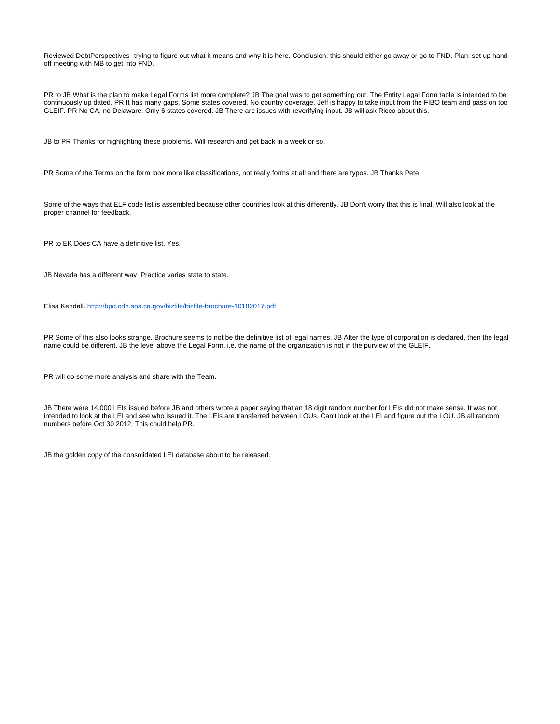Reviewed DebtPerspectives--trying to figure out what it means and why it is here. Conclusion: this should either go away or go to FND. Plan: set up handoff meeting with MB to get into FND.

PR to JB What is the plan to make Legal Forms list more complete? JB The goal was to get something out. The Entity Legal Form table is intended to be continuously up dated. PR It has many gaps. Some states covered. No country coverage. Jeff is happy to take input from the FIBO team and pass on too GLEIF. PR No CA, no Delaware. Only 6 states covered. JB There are issues with reverifying input. JB will ask Ricco about this.

JB to PR Thanks for highlighting these problems. Will research and get back in a week or so.

PR Some of the Terms on the form look more like classifications, not really forms at all and there are typos. JB Thanks Pete.

Some of the ways that ELF code list is assembled because other countries look at this differently. JB Don't worry that this is final. Will also look at the proper channel for feedback.

PR to EK Does CA have a definitive list. Yes.

JB Nevada has a different way. Practice varies state to state.

Elisa Kendall. <http://bpd.cdn.sos.ca.gov/bizfile/bizfile-brochure-10182017.pdf>

PR Some of this also looks strange. Brochure seems to not be the definitive list of legal names. JB After the type of corporation is declared, then the legal name could be different. JB the level above the Legal Form, i.e. the name of the organization is not in the purview of the GLEIF.

PR will do some more analysis and share with the Team.

JB There were 14,000 LEIs issued before JB and others wrote a paper saying that an 18 digit random number for LEIs did not make sense. It was not intended to look at the LEI and see who issued it. The LEIs are transferred between LOUs. Can't look at the LEI and figure out the LOU. JB all random numbers before Oct 30 2012. This could help PR.

JB the golden copy of the consolidated LEI database about to be released.